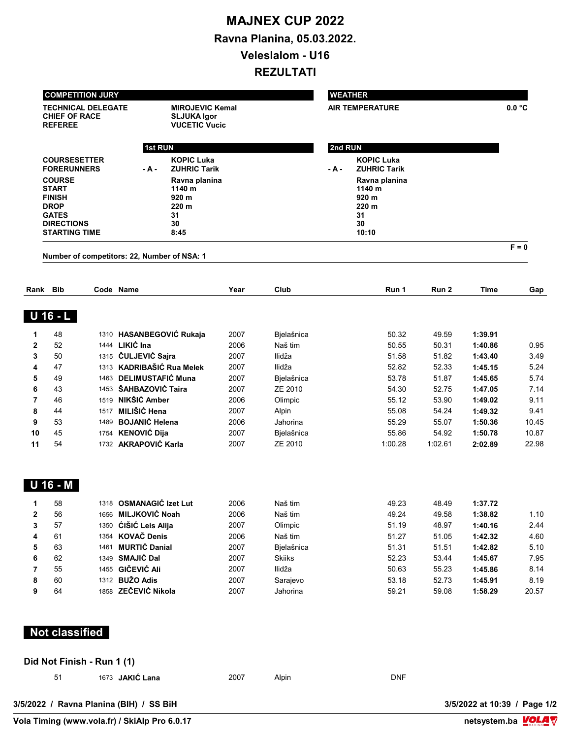## MAJNEX CUP 2022 Ravna Planina, 05.03.2022. Veleslalom - U16 REZULTATI

|          | <b>COMPETITION JURY</b>                                                                                                                                                                                                                                                                 |      |                                             |               |              |                       |                                                                                                            | <b>WEATHER</b>         |                  |                    |                |
|----------|-----------------------------------------------------------------------------------------------------------------------------------------------------------------------------------------------------------------------------------------------------------------------------------------|------|---------------------------------------------|---------------|--------------|-----------------------|------------------------------------------------------------------------------------------------------------|------------------------|------------------|--------------------|----------------|
|          | <b>TECHNICAL DELEGATE</b><br><b>MIROJEVIC Kemal</b><br><b>CHIEF OF RACE</b><br><b>SLJUKA Igor</b><br><b>REFEREE</b><br><b>VUCETIC Vucic</b>                                                                                                                                             |      |                                             |               |              |                       |                                                                                                            | <b>AIR TEMPERATURE</b> |                  |                    |                |
|          |                                                                                                                                                                                                                                                                                         |      |                                             |               |              |                       |                                                                                                            | 2nd RUN                |                  |                    |                |
|          | 1st RUN<br><b>KOPIC Luka</b><br><b>COURSESETTER</b><br><b>ZUHRIC Tarik</b><br><b>FORERUNNERS</b><br>- A -<br><b>COURSE</b><br><b>START</b><br>1140 m<br><b>FINISH</b><br>920 m<br><b>DROP</b><br>220 m<br><b>GATES</b><br>31<br><b>DIRECTIONS</b><br>30<br><b>STARTING TIME</b><br>8:45 |      |                                             |               |              | - A -                 | <b>KOPIC Luka</b><br><b>ZUHRIC Tarik</b><br>Ravna planina<br>1140 m<br>920 m<br>220 m<br>31<br>30<br>10:10 |                        |                  |                    |                |
|          |                                                                                                                                                                                                                                                                                         |      |                                             | Ravna planina |              |                       |                                                                                                            |                        |                  |                    |                |
|          |                                                                                                                                                                                                                                                                                         |      | Number of competitors: 22, Number of NSA: 1 |               |              |                       |                                                                                                            |                        |                  |                    | $F = 0$        |
| Rank     | <b>Bib</b>                                                                                                                                                                                                                                                                              |      | Code Name                                   |               | Year         | Club                  |                                                                                                            | Run 1                  | Run 2            | Time               | Gap            |
|          | U 16 - L                                                                                                                                                                                                                                                                                |      |                                             |               |              |                       |                                                                                                            |                        |                  |                    |                |
| 1        | 48                                                                                                                                                                                                                                                                                      |      | 1310 HASANBEGOVIĆ Rukaja                    |               | 2007         | Bjelašnica            |                                                                                                            | 50.32                  | 49.59            | 1:39.91            |                |
| 2        | 52                                                                                                                                                                                                                                                                                      |      | 1444 LIKIĆ Ina                              |               | 2006         | Naš tim               |                                                                                                            | 50.55                  | 50.31            | 1:40.86            | 0.95           |
| 3        | 50                                                                                                                                                                                                                                                                                      |      | 1315 ČULJEVIĆ Sajra                         |               | 2007         | Ilidža                |                                                                                                            | 51.58                  | 51.82            | 1:43.40            | 3.49           |
| 4        | 47                                                                                                                                                                                                                                                                                      |      | 1313 KADRIBAŠIĆ Rua Melek                   |               | 2007         | Ilidža                |                                                                                                            | 52.82                  | 52.33            | 1:45.15            | 5.24           |
| 5        | 49                                                                                                                                                                                                                                                                                      |      | 1463 DELIMUSTAFIĆ Muna                      |               | 2007         | Bjelašnica            |                                                                                                            | 53.78                  | 51.87            | 1:45.65            | 5.74           |
| 6        | 43                                                                                                                                                                                                                                                                                      |      | 1453 ŠAHBAZOVIĆ Taira                       |               | 2007         | ZE 2010               |                                                                                                            | 54.30                  | 52.75            | 1:47.05            | 7.14           |
| 7        | 46                                                                                                                                                                                                                                                                                      | 1519 | NIKŠIĆ Amber                                |               | 2006         | Olimpic               |                                                                                                            | 55.12                  | 53.90            | 1:49.02            | 9.11           |
| 8        | 44                                                                                                                                                                                                                                                                                      | 1517 | MILIŠIĆ Hena                                |               | 2007         | Alpin                 |                                                                                                            | 55.08                  | 54.24            | 1:49.32            | 9.41           |
| 9        | 53                                                                                                                                                                                                                                                                                      | 1489 | <b>BOJANIĆ Helena</b>                       |               | 2006         | Jahorina              |                                                                                                            | 55.29                  | 55.07            | 1:50.36            | 10.45          |
| 10<br>11 | 45<br>54                                                                                                                                                                                                                                                                                |      | 1754 KENOVIĆ Dija<br>1732 AKRAPOVIĆ Karla   |               | 2007<br>2007 | Bjelašnica<br>ZE 2010 |                                                                                                            | 55.86<br>1:00.28       | 54.92<br>1:02.61 | 1:50.78<br>2:02.89 | 10.87<br>22.98 |
|          |                                                                                                                                                                                                                                                                                         |      |                                             |               |              |                       |                                                                                                            |                        |                  |                    |                |
|          | U 16 - M                                                                                                                                                                                                                                                                                |      |                                             |               |              |                       |                                                                                                            |                        |                  |                    |                |
| 1        | 58                                                                                                                                                                                                                                                                                      |      | 1318 OSMANAGIĆ Izet Lut                     |               | 2006         | Naš tim               |                                                                                                            | 49.23                  | 48.49            | 1:37.72            |                |
| 2        | 56                                                                                                                                                                                                                                                                                      |      | 1656 MILJKOVIĆ Noah                         |               | 2006         | Naš tim               |                                                                                                            | 49.24                  | 49.58            | 1:38.82            | 1.10           |
| 3        | 57                                                                                                                                                                                                                                                                                      |      | 1350 ĆIŠIĆ Leis Alija                       |               | 2007         | Olimpic               |                                                                                                            | 51.19                  | 48.97            | 1:40.16            | 2.44           |
| 4        | 61                                                                                                                                                                                                                                                                                      |      | 1354 KOVAČ Denis                            |               | 2006         | Naš tim               |                                                                                                            | 51.27                  | 51.05            | 1:42.32            | 4.60           |
| 5        | 63                                                                                                                                                                                                                                                                                      |      | 1461 MURTIĆ Danial                          |               | 2007         | Bjelašnica            |                                                                                                            | 51.31                  | 51.51            | 1:42.82            | 5.10           |
| 6        | 62                                                                                                                                                                                                                                                                                      |      | 1349 SMAJIĆ Dal<br>1455 GIČEVIĆ Ali         |               | 2007         | <b>Skiiks</b>         |                                                                                                            | 52.23                  | 53.44            | 1:45.67            | 7.95           |
| 7<br>8   | 55<br>60                                                                                                                                                                                                                                                                                |      | 1312 BUŽO Adis                              |               | 2007<br>2007 | Ilidža<br>Sarajevo    |                                                                                                            | 50.63<br>53.18         | 55.23<br>52.73   | 1:45.86<br>1:45.91 | 8.14<br>8.19   |
| 9        | 64                                                                                                                                                                                                                                                                                      |      | 1858 ZEČEVIĆ Nikola                         |               | 2007         | Jahorina              |                                                                                                            | 59.21                  | 59.08            | 1:58.29            | 20.57          |
|          |                                                                                                                                                                                                                                                                                         |      |                                             |               |              |                       |                                                                                                            |                        |                  |                    |                |
|          | <b>Not classified</b>                                                                                                                                                                                                                                                                   |      |                                             |               |              |                       |                                                                                                            |                        |                  |                    |                |
|          | Did Not Finish - Run 1 (1)                                                                                                                                                                                                                                                              |      |                                             |               |              |                       |                                                                                                            |                        |                  |                    |                |
|          | 51                                                                                                                                                                                                                                                                                      |      | 1673 JAKIĆ Lana                             |               | 2007         | Alpin                 |                                                                                                            | <b>DNF</b>             |                  |                    |                |